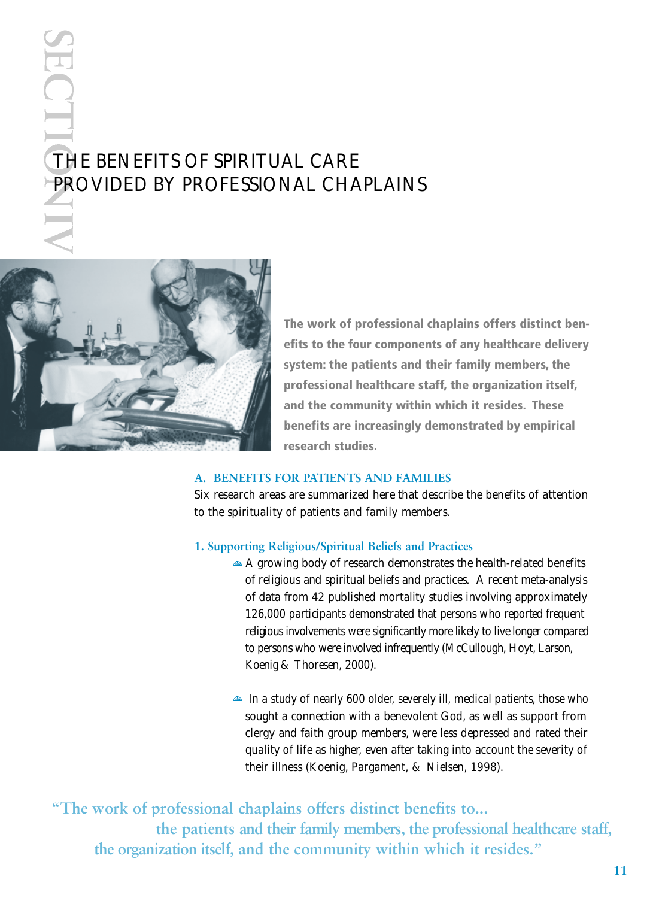# THE BENEFITS OF SPIRITUAL CARE PROVIDED BY PROFESSIONAL CHAPLAINS



ECT

**The work of professional chaplains offers distinct benefits to the four components of any healthcare delivery system: the patients and their family members, the professional healthcare staff, the organization itself, and the community within which it resides. These benefits are increasingly demonstrated by empirical research studies.**

## **A. BENEFITS FOR PATIENTS AND FAMILIES**

Six research areas are summarized here that describe the benefits of attention to the spirituality of patients and family members.

#### **1. Supporting Religious/Spiritual Beliefs and Practices**

- $\triangle$  A growing body of research demonstrates the health-related benefits of religious and spiritual beliefs and practices. A recent meta-analysis of data from 42 published mortality studies involving approximately 126,000 participants demonstrated that persons who reported frequent religious involvements were significantly more likely to live longer compared to persons who were involved infrequently (McCullough, Hoyt, Larson, Koenig & Thoresen, 2000).
- In a study of nearly 600 older, severely ill, medical patients, those who sought a connection with a benevolent God, as well as support from clergy and faith group members, were less depressed and rated their quality of life as higher, even after taking into account the severity of their illness (Koenig, Pargament, & Nielsen, 1998).

**"The work of professional chaplains offers distinct benefits to... the patients and their family members, the professional healthcare staff,**  the organization itself, and the community within which it resides."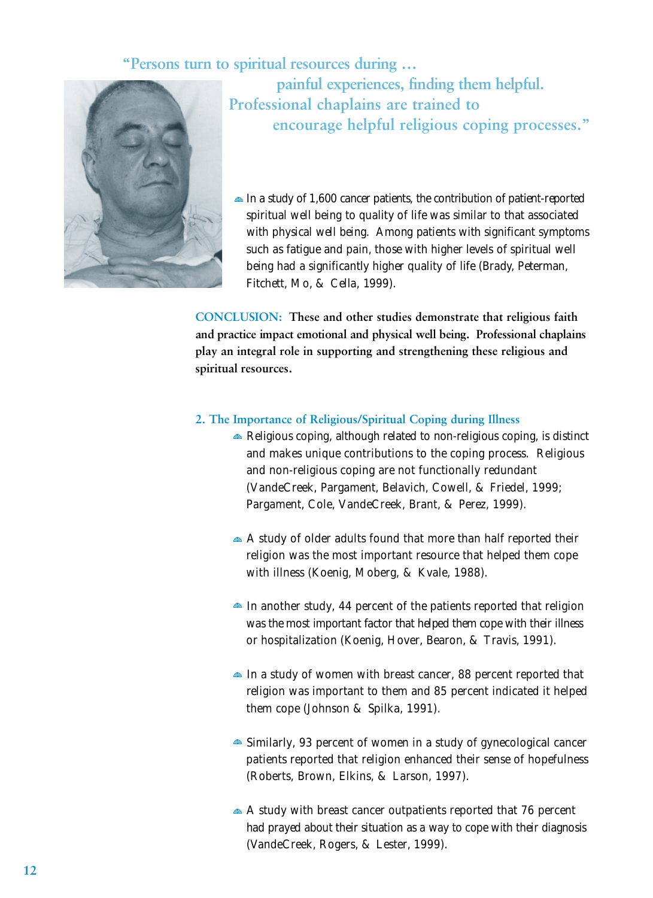"Persons turn to spiritual resources during ...



**painful experiences, finding them helpful. Professional chaplains are trained to encourage helpful religious coping processes."**

 $\triangleq$  In a study of 1,600 cancer patients, the contribution of patient-reported spiritual well being to quality of life was similar to that associated with physical well being. Among patients with significant symptoms such as fatigue and pain, those with higher levels of spiritual well being had a significantly higher quality of life (Brady, Peterman, Fitchett, Mo, & Cella, 1999).

**CONCLUSION: These and other studies demonstrate that religious faith and practice impact emotional and physical well being. Professional chaplains play an integral role in supporting and strengthening these religious and spiritual resources.** 

## **2. The Importance of Religious/Spiritual Coping during Illness**

- Religious coping, although related to non-religious coping, is distinct and makes unique contributions to the coping process. Religious and non-religious coping are not functionally redundant (VandeCreek, Pargament, Belavich, Cowell, & Friedel, 1999; Pargament, Cole, VandeCreek, Brant, & Perez, 1999).
- A study of older adults found that more than half reported their religion was the most important resource that helped them cope with illness (Koenig, Moberg, & Kvale, 1988).
- $\triangle$  In another study, 44 percent of the patients reported that religion was the most important factor that helped them cope with their illness or hospitalization (Koenig, Hover, Bearon, & Travis, 1991).
- In a study of women with breast cancer, 88 percent reported that religion was important to them and 85 percent indicated it helped them cope (Johnson & Spilka, 1991).
- Similarly, 93 percent of women in a study of gynecological cancer patients reported that religion enhanced their sense of hopefulness (Roberts, Brown, Elkins, & Larson, 1997).
- A study with breast cancer outpatients reported that 76 percent had prayed about their situation as a way to cope with their diagnosis ( VandeCreek, Rogers, & Lester, 1999).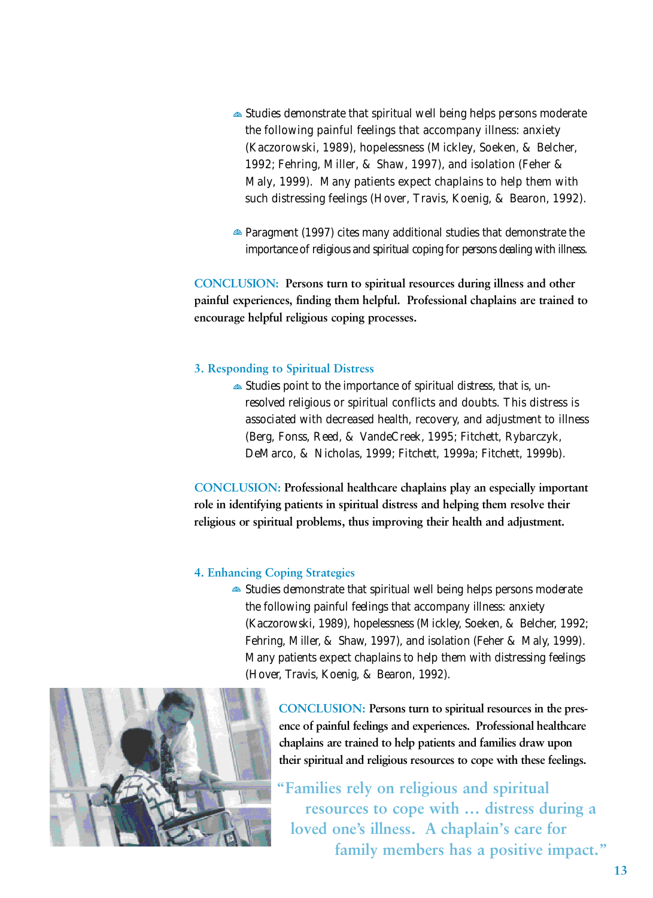- Studies demonstrate that spiritual well being helps persons moderate the following painful feelings that accompany illness: anxiety (Kaczorowski, 1989), hopelessness (Mickley, Soeken, & Belcher, 1992; Fehring, Miller, & Shaw, 1997), and isolation (Feher & Maly, 1999). Many patients expect chaplains to help them with such distressing feelings (Hover, Travis, Koenig, & Bearon, 1992).
- Paragment (1997) cites many additional studies that demonstrate the importance of religious and spiritual coping for persons dealing with illness.

**CONCLUSION:** Persons turn to spiritual resources during illness and other **painful experiences, finding them helpful. Professional chaplains are trained to** encourage helpful religious coping processes.

## **3. Responding to Spiritual Distress**

Studies point to the importance of spiritual distress, that is, unresolved religious or spiritual conflicts and doubts. This distress is associated with decreased health, recovery, and adjustment to illness (Berg, Fonss, Reed, & VandeCreek, 1995; Fitchett, Rybarczyk, DeMarco, & Nicholas, 1999; Fitchett, 1999a; Fitchett, 1999b).

**CONCLUSION: Professional healthcare chaplains play an especially important role in identifying patients in spiritual distress and helping them resolve their religious or spiritual problems, thus improving their health and adjustment.**

### **4. Enhancing Coping Strategies**

Studies demonstrate that spiritual well being helps persons moderate the following painful feelings that accompany illness: anxiety (Kaczorowski, 1989), hopelessness (Mickley, Soeken, & Belcher, 1992; Fehring, Miller, & Shaw, 1997), and isolation (Feher & Maly, 1999). Many patients expect chaplains to help them with distressing feelings (Hover, Travis, Koenig, & Bearon, 1992).

> **CONCLUSION: Persons turn to spiritual resources in the presence of painful feelings and experiences. Professional healthcare chaplains are trained to help patients and families draw upon** their spiritual and religious resources to cope with these feelings.

**"Families rely on religious and spiritual resources to cope with … distress during a loved one's illness. A chaplain's care for family members has a positive impact."**

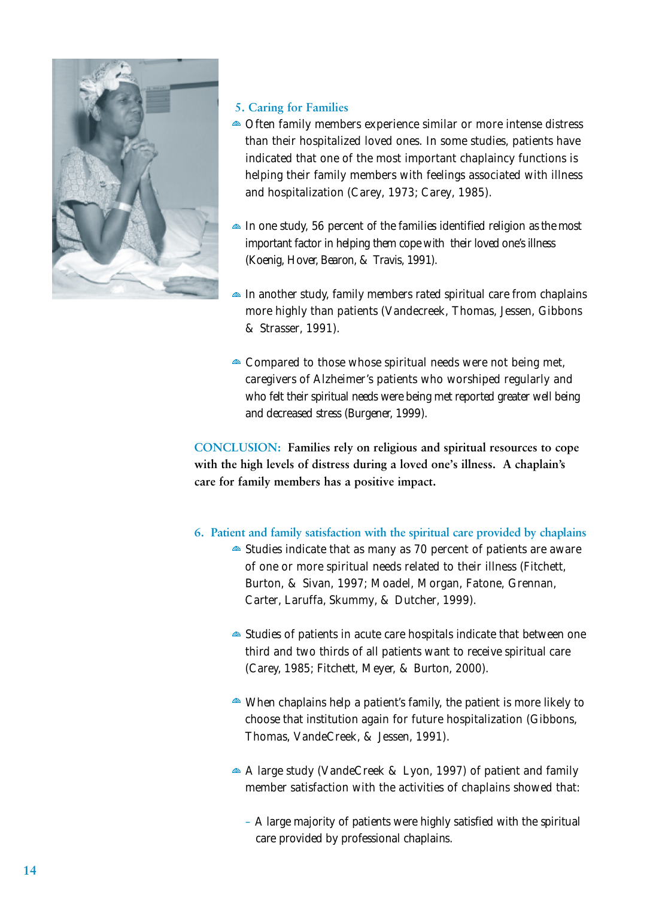

## **5. Caring for Families**

- Often family members experience similar or more intense distress than their hospitalized loved ones. In some studies, patients have indicated that one of the most important chaplaincy functions is helping their family members with feelings associated with illness and hospitalization (Carey, 1973; Carey, 1985).
- In one study, 56 percent of the families identified religion as the most important factor in helping them cope with their loved one's illness (Koenig, Hover, Bearon, & Travis, 1991).
- In another study, family members rated spiritual care from chaplains more highly than patients (Vandecreek, Thomas, Jessen, Gibbons & Strasser, 1991).
- Compared to those whose spiritual needs were not being met, caregivers of Alzheimer's patients who worshiped regularly and who felt their spiritual needs were being met reported greater well being and decreased stress (Burgener, 1999).

**CONCLUSION: Families rely on religious and spiritual resources to cope with the high levels of distress during a loved one's illness. A chaplain's care for family members has a positive impact.**

- **6. Patient and family satisfaction with the spiritual care provided by chaplains**
	- Studies indicate that as many as 70 percent of patients are aware of one or more spiritual needs related to their illness (Fitchett, Burton, & Sivan, 1997; Moadel, Morgan, Fatone, Grennan, Carter, Laruffa, Skummy, & Dutcher, 1999).
	- Studies of patients in acute care hospitals indicate that between one third and two thirds of all patients want to receive spiritual care (Carey, 1985; Fitchett, Meyer, & Burton, 2000).
	- When chaplains help a patient's family, the patient is more likely to choose that institution again for future hospitalization (Gibbons, Thomas, VandeCreek, & Jessen, 1991).
	- A large study (VandeCreek & Lyon, 1997) of patient and family member satisfaction with the activities of chaplains showed that:
		- A large majority of patients were highly satisfied with the spiritual care provided by professional chaplains.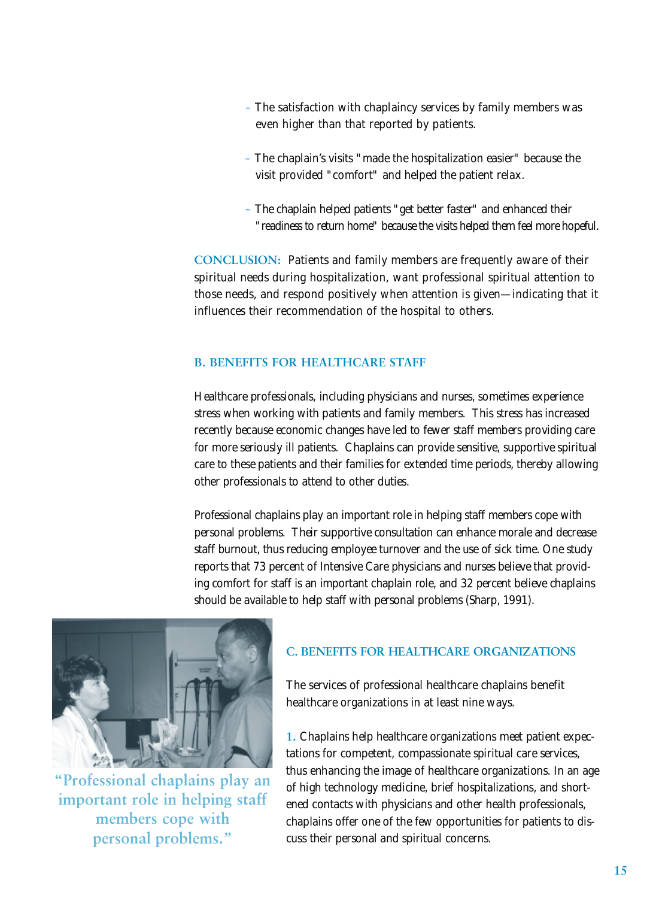- The satisfaction with chaplaincy services by family members was even higher than that reported by patients.
- The chaplain's visits "made the hospitalization easier" because the visit provided "comfort" and helped the patient relax.
- The chaplain helped patients "get better faster" and enhanced their " readiness to return home" because the visits helped them feel more hopeful.

**CONCLUSION:** Patients and family members are frequently aware of their spiritual needs during hospitalization, want professional spiritual attention to those needs, and respond positively when attention is given—indicating that it influences their recommendation of the hospital to others.

## **B. BENEFITS FOR HEALTHCARE STAFF**

Healthcare professionals, including physicians and nurses, sometimes experience stress when working with patients and family members. This stress has increased recently because economic changes have led to fewer staff members providing care for more seriously ill patients. Chaplains can provide sensitive, supportive spiritual care to these patients and their families for extended time periods, thereby allowing other professionals to attend to other duties.

Professional chaplains play an important role in helping staff members cope with personal problems. Their supportive consultation can enhance morale and decrease staff burnout, thus reducing employee turnover and the use of sick time. One study reports that 73 percent of Intensive Care physicians and nurses believe that providing comfort for staff is an important chaplain role, and 32 percent believe chaplains should be available to help staff with personal problems (Sharp, 1991).



**"Professional chaplains play an important role in helping staff members cope with personal problems."**

# **C. BENEFITS FOR HEALTHCARE ORGANIZATIONS**

The services of professional healthcare chaplains benefit healthcare organizations in at least nine ways.

**1.** Chaplains help healthcare organizations meet patient expectations for competent, compassionate spiritual care services, thus enhancing the image of healthcare organizations. In an age of high technology medicine, brief hospitalizations, and shortened contacts with physicians and other health professionals, chaplains offer one of the few opportunities for patients to discuss their personal and spiritual concerns.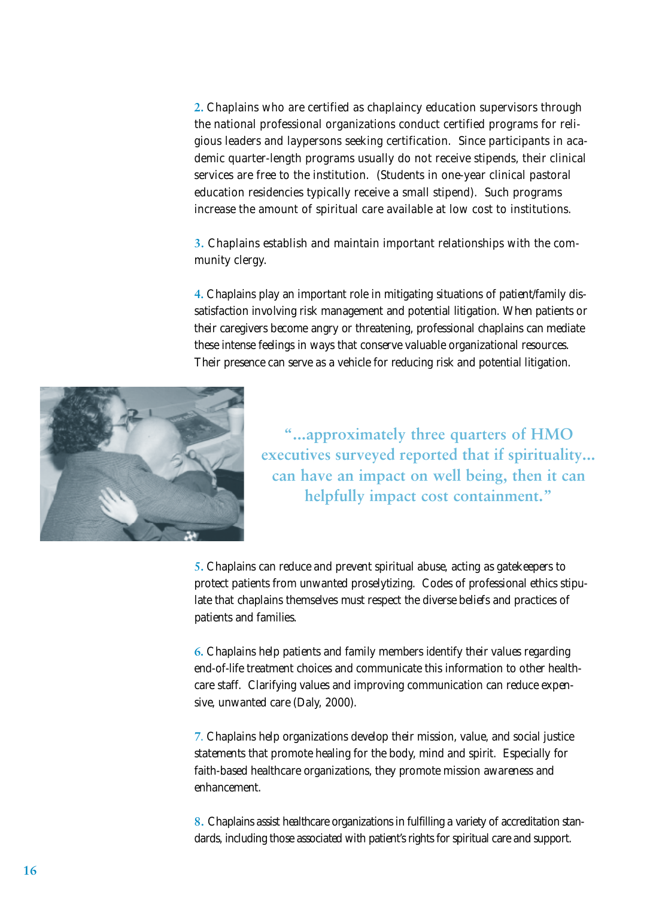**2.** Chaplains who are certified as chaplaincy education supervisors through the national professional organizations conduct certified programs for religious leaders and laypersons seeking certification. Since participants in academic quarter-length programs usually do not receive stipends, their clinical services are free to the institution. (Students in one-year clinical pastoral education residencies typically receive a small stipend). Such programs increase the amount of spiritual care available at low cost to institutions.

**3.** Chaplains establish and maintain important relationships with the community clergy.

**4 .** Chaplains play an important role in mitigating situations of patient/family dissatisfaction involving risk management and potential litigation. When patients or their caregivers become angry or threatening, professional chaplains can mediate these intense feelings in ways that conserve valuable organizational resources. Their presence can serve as a vehicle for reducing risk and potential litigation.



**"...approximately three quarters of HMO executives surveyed reported that if spirituality... can have an impact on well being, then it can helpfully impact cost containment."**

**5 .** Chaplains can reduce and prevent spiritual abuse, acting as gatekeepers to protect patients from unwanted proselytizing. Codes of professional ethics stipulate that chaplains themselves must respect the diverse beliefs and practices of patients and families.

**6.** Chaplains help patients and family members identify their values regarding end-of-life treatment choices and communicate this information to other healthcare staff. Clarifying values and improving communication can reduce expensive, unwanted care (Daly, 2000).

**7**. Chaplains help organizations develop their mission, value, and social justice statements that promote healing for the body, mind and spirit. Especially for faith-based healthcare organizations, they promote mission awareness and enhancement.

**8.** Chaplains assist healthcare organizations in fulfilling a variety of accreditation standards, including those associated with patient's rights for spiritual care and support.